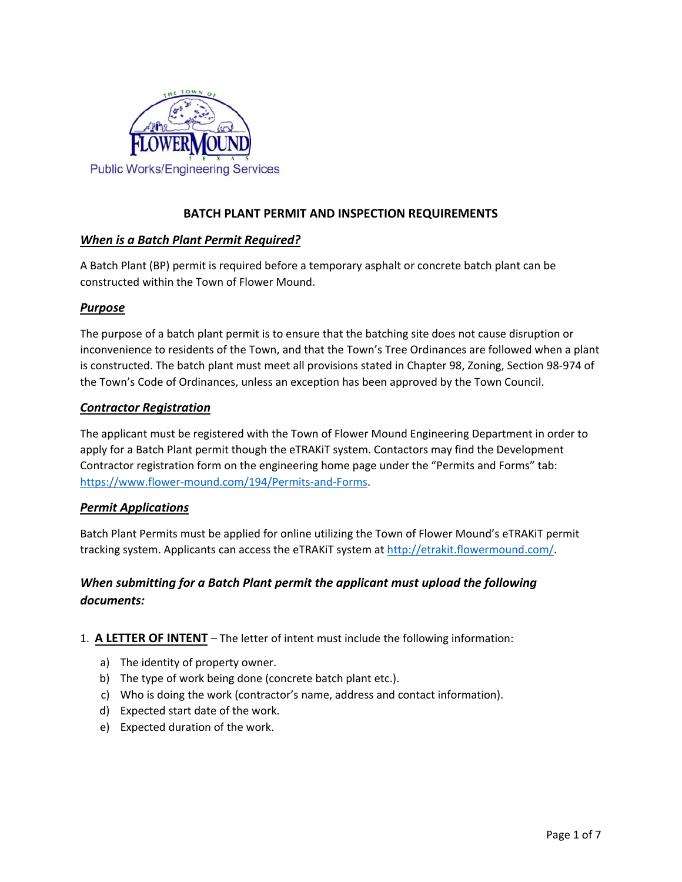

# **BATCH PLANT PERMIT AND INSPECTION REQUIREMENTS**

## *When is a Batch Plant Permit Required?*

A Batch Plant (BP) permit is required before a temporary asphalt or concrete batch plant can be constructed within the Town of Flower Mound.

## *Purpose*

The purpose of a batch plant permit is to ensure that the batching site does not cause disruption or inconvenience to residents of the Town, and that the Town's Tree Ordinances are followed when a plant is constructed. The batch plant must meet all provisions stated in Chapter 98, Zoning, Section 98-974 of the Town's Code of Ordinances, unless an exception has been approved by the Town Council.

## *Contractor Registration*

The applicant must be registered with the Town of Flower Mound Engineering Department in order to apply for a Batch Plant permit though the eTRAKiT system. Contactors may find the Development Contractor registration form on the engineering home page under the "Permits and Forms" tab: [https://www.flower-mound.com/194/Permits-and-Forms.](https://www.flower-mound.com/194/Permits-and-Forms)

#### *Permit Applications*

Batch Plant Permits must be applied for online utilizing the Town of Flower Mound's eTRAKiT permit tracking system. Applicants can access the eTRAKiT system at [http://etrakit.flowermound.com/.](http://etrakit.flowermound.com/)

# *When submitting for a Batch Plant permit the applicant must upload the following documents:*

- 1. **A LETTER OF INTENT** The letter of intent must include the following information:
	- a) The identity of property owner.
	- b) The type of work being done (concrete batch plant etc.).
	- c) Who is doing the work (contractor's name, address and contact information).
	- d) Expected start date of the work.
	- e) Expected duration of the work.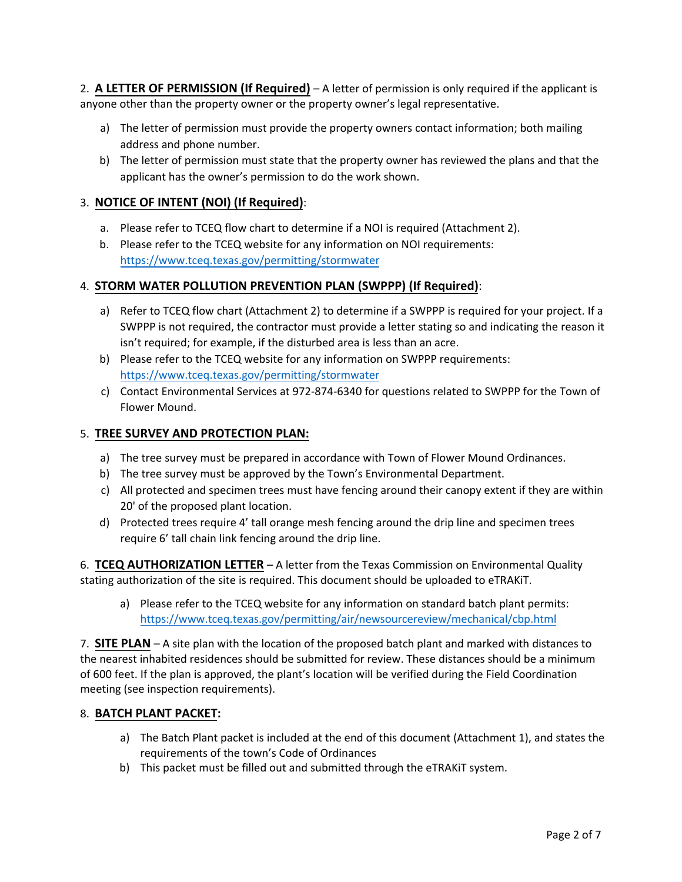2. **A LETTER OF PERMISSION (If Required)** – A letter of permission is only required if the applicant is anyone other than the property owner or the property owner's legal representative.

- a) The letter of permission must provide the property owners contact information; both mailing address and phone number.
- b) The letter of permission must state that the property owner has reviewed the plans and that the applicant has the owner's permission to do the work shown.

# 3. **NOTICE OF INTENT (NOI) (If Required)**:

- a. Please refer to TCEQ flow chart to determine if a NOI is required (Attachment 2).
- b. Please refer to the TCEQ website for any information on NOI requirements: <https://www.tceq.texas.gov/permitting/stormwater>

## 4. **STORM WATER POLLUTION PREVENTION PLAN (SWPPP) (If Required)**:

- a) Refer to TCEQ flow chart (Attachment 2) to determine if a SWPPP is required for your project. If a SWPPP is not required, the contractor must provide a letter stating so and indicating the reason it isn't required; for example, if the disturbed area is less than an acre.
- b) Please refer to the TCEQ website for any information on SWPPP requirements: <https://www.tceq.texas.gov/permitting/stormwater>
- c) Contact Environmental Services at 972-874-6340 for questions related to SWPPP for the Town of Flower Mound.

## 5. **TREE SURVEY AND PROTECTION PLAN:**

- a) The tree survey must be prepared in accordance with Town of Flower Mound Ordinances.
- b) The tree survey must be approved by the Town's Environmental Department.
- c) All protected and specimen trees must have fencing around their canopy extent if they are within 20' of the proposed plant location.
- d) Protected trees require 4' tall orange mesh fencing around the drip line and specimen trees require 6' tall chain link fencing around the drip line.

6. **TCEQ AUTHORIZATION LETTER** – A letter from the Texas Commission on Environmental Quality stating authorization of the site is required. This document should be uploaded to eTRAKiT.

a) Please refer to the TCEQ website for any information on standard batch plant permits: <https://www.tceq.texas.gov/permitting/air/newsourcereview/mechanical/cbp.html>

7. **SITE PLAN** – A site plan with the location of the proposed batch plant and marked with distances to the nearest inhabited residences should be submitted for review. These distances should be a minimum of 600 feet. If the plan is approved, the plant's location will be verified during the Field Coordination meeting (see inspection requirements).

#### 8. **BATCH PLANT PACKET:**

- a) The Batch Plant packet is included at the end of this document (Attachment 1), and states the requirements of the town's Code of Ordinances
- b) This packet must be filled out and submitted through the eTRAKiT system.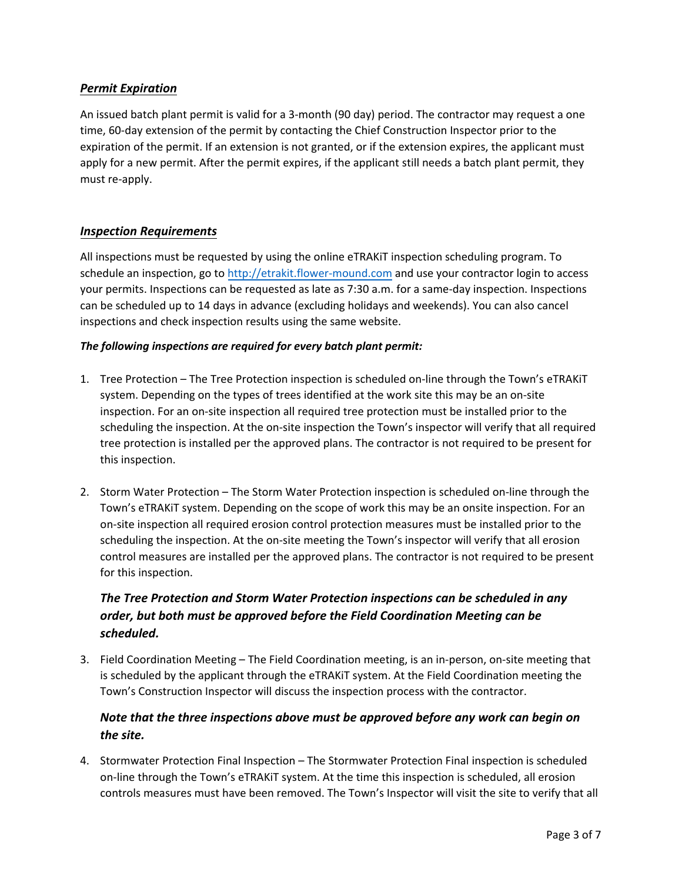# *Permit Expiration*

An issued batch plant permit is valid for a 3-month (90 day) period. The contractor may request a one time, 60-day extension of the permit by contacting the Chief Construction Inspector prior to the expiration of the permit. If an extension is not granted, or if the extension expires, the applicant must apply for a new permit. After the permit expires, if the applicant still needs a batch plant permit, they must re-apply.

## *Inspection Requirements*

All inspections must be requested by using the online eTRAKiT inspection scheduling program. To schedule an inspection, go to [http://etrakit.flower-mound.com](http://etrakit.flower-mound.com/) and use your contractor login to access your permits. Inspections can be requested as late as 7:30 a.m. for a same-day inspection. Inspections can be scheduled up to 14 days in advance (excluding holidays and weekends). You can also cancel inspections and check inspection results using the same website.

## *The following inspections are required for every batch plant permit:*

- 1. Tree Protection The Tree Protection inspection is scheduled on-line through the Town's eTRAKiT system. Depending on the types of trees identified at the work site this may be an on-site inspection. For an on-site inspection all required tree protection must be installed prior to the scheduling the inspection. At the on-site inspection the Town's inspector will verify that all required tree protection is installed per the approved plans. The contractor is not required to be present for this inspection.
- 2. Storm Water Protection The Storm Water Protection inspection is scheduled on-line through the Town's eTRAKiT system. Depending on the scope of work this may be an onsite inspection. For an on-site inspection all required erosion control protection measures must be installed prior to the scheduling the inspection. At the on-site meeting the Town's inspector will verify that all erosion control measures are installed per the approved plans. The contractor is not required to be present for this inspection.

# *The Tree Protection and Storm Water Protection inspections can be scheduled in any order, but both must be approved before the Field Coordination Meeting can be scheduled.*

3. Field Coordination Meeting – The Field Coordination meeting, is an in-person, on-site meeting that is scheduled by the applicant through the eTRAKiT system. At the Field Coordination meeting the Town's Construction Inspector will discuss the inspection process with the contractor.

# *Note that the three inspections above must be approved before any work can begin on the site.*

4. Stormwater Protection Final Inspection – The Stormwater Protection Final inspection is scheduled on-line through the Town's eTRAKiT system. At the time this inspection is scheduled, all erosion controls measures must have been removed. The Town's Inspector will visit the site to verify that all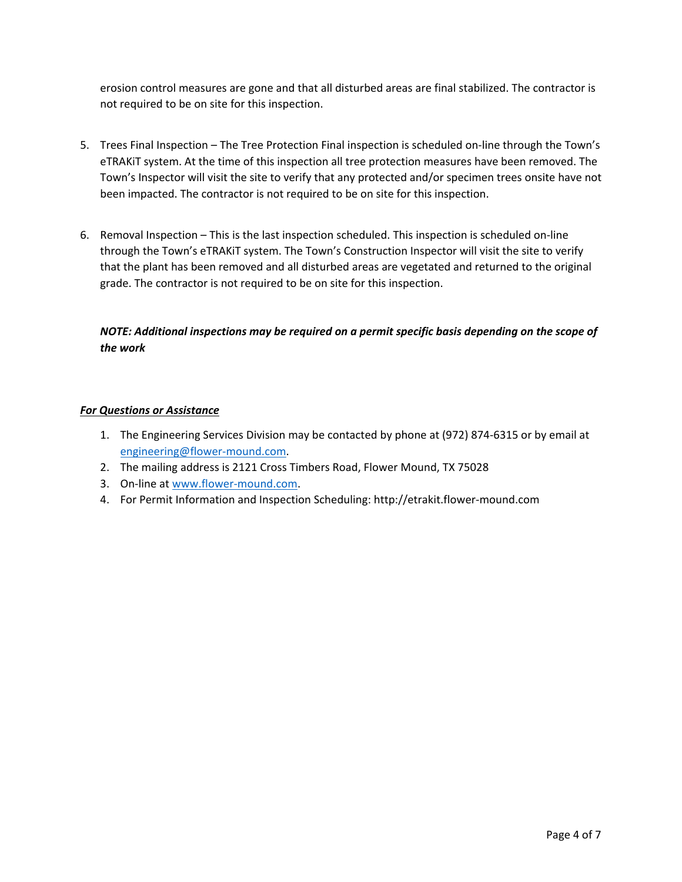erosion control measures are gone and that all disturbed areas are final stabilized. The contractor is not required to be on site for this inspection.

- 5. Trees Final Inspection The Tree Protection Final inspection is scheduled on-line through the Town's eTRAKiT system. At the time of this inspection all tree protection measures have been removed. The Town's Inspector will visit the site to verify that any protected and/or specimen trees onsite have not been impacted. The contractor is not required to be on site for this inspection.
- 6. Removal Inspection This is the last inspection scheduled. This inspection is scheduled on-line through the Town's eTRAKiT system. The Town's Construction Inspector will visit the site to verify that the plant has been removed and all disturbed areas are vegetated and returned to the original grade. The contractor is not required to be on site for this inspection.

# *NOTE: Additional inspections may be required on a permit specific basis depending on the scope of the work*

#### *For Questions or Assistance*

- 1. The Engineering Services Division may be contacted by phone at (972) 874-6315 or by email at engineering@flower-mound.com.
- 2. The mailing address is 2121 Cross Timbers Road, Flower Mound, TX 75028
- 3. On-line a[t www.flower-mound.com.](http://www.flower-mound.com/)
- 4. For Permit Information and Inspection Scheduling: http://etrakit.flower-mound.com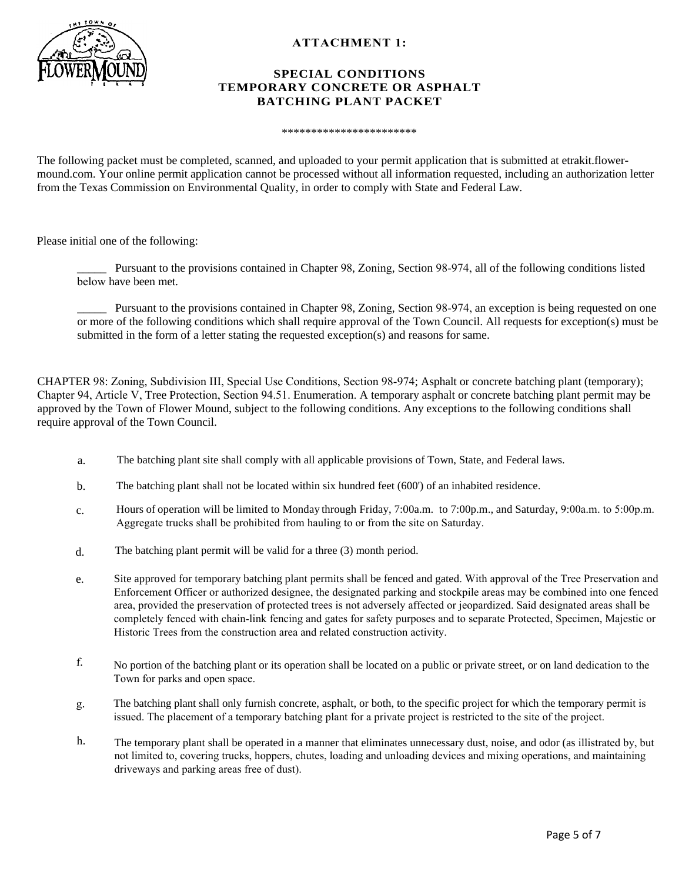

#### **ATTACHMENT 1:**

#### **SPECIAL CONDITIONS TEMPORARY CONCRETE OR ASPHALT BATCHING PLANT PACKET**

\*\*\*\*\*\*\*\*\*\*\*\*\*\*\*\*\*\*\*\*\*\*\*

The following packet must be completed, scanned, and uploaded to your permit application that is submitted at etrakit.flowermound.com. Your online permit application cannot be processed without all information requested, including an authorization letter from the Texas Commission on Environmental Quality, in order to comply with State and Federal Law.

Please initial one of the following:

\_\_\_\_\_ Pursuant to the provisions contained in Chapter 98, Zoning, Section 98-974, all of the following conditions listed below have been met.

Pursuant to the provisions contained in Chapter 98, Zoning, Section 98-974, an exception is being requested on one or more of the following conditions which shall require approval of the Town Council. All requests for exception(s) must be submitted in the form of a letter stating the requested exception(s) and reasons for same.

CHAPTER 98: Zoning, Subdivision III, Special Use Conditions, Section 98-974; Asphalt or concrete batching plant (temporary); Chapter 94, Article V, Tree Protection, Section 94.51. Enumeration. A temporary asphalt or concrete batching plant permit may be approved by the Town of Flower Mound, subject to the following conditions. Any exceptions to the following conditions shall require approval of the Town Council.

- a. The batching plant site shall comply with all applicable provisions of Town, State, and Federal laws.
- b. The batching plant shall not be located within six hundred feet (600') of an inhabited residence.
- c. Hours of operation will be limited to Monday through Friday, 7:00a.m. to 7:00p.m., and Saturday, 9:00a.m. to 5:00p.m. Aggregate trucks shall be prohibited from hauling to or from the site on Saturday.
- d. The batching plant permit will be valid for a three (3) month period.
- e. Site approved for temporary batching plant permits shall be fenced and gated. With approval of the Tree Preservation and Enforcement Officer or authorized designee, the designated parking and stockpile areas may be combined into one fenced area, provided the preservation of protected trees is not adversely affected or jeopardized. Said designated areas shall be completely fenced with chain-link fencing and gates for safety purposes and to separate Protected, Specimen, Majestic or Historic Trees from the construction area and related construction activity.
- <sup>f</sup>. No portion of the batching plant or its operation shall be located on a public or private street, or on land dedication to the Town for parks and open space.
- g. The batching plant shall only furnish concrete, asphalt, or both, to the specific project for which the temporary permit is issued. The placement of a temporary batching plant for a private project is restricted to the site of the project.
- h. The temporary plant shall be operated in a manner that eliminates unnecessary dust, noise, and odor (as illistrated by, but not limited to, covering trucks, hoppers, chutes, loading and unloading devices and mixing operations, and maintaining driveways and parking areas free of dust).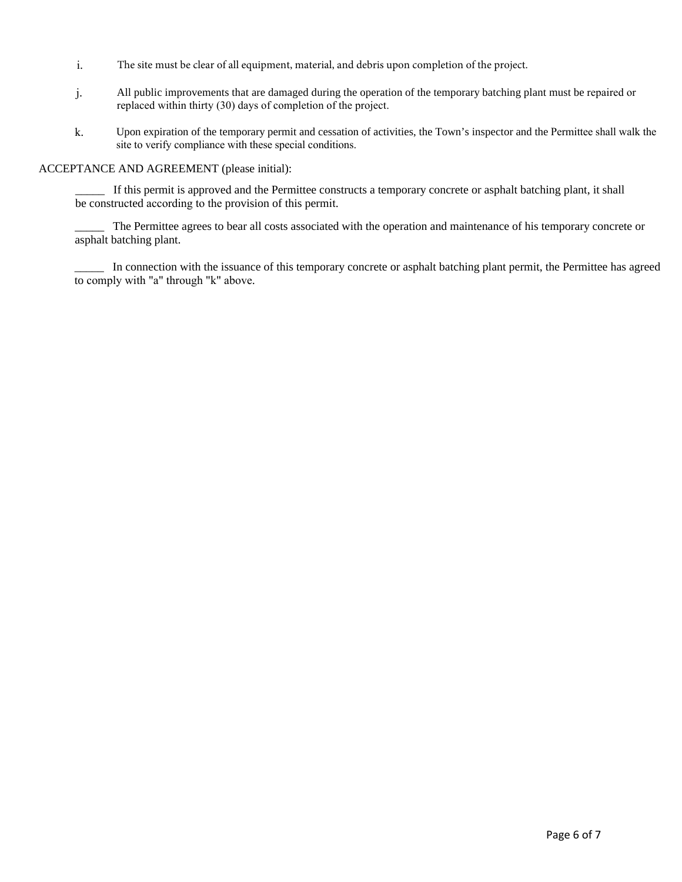- i. The site must be clear of all equipment, material, and debris upon completion of the project.
- j. All public improvements that are damaged during the operation of the temporary batching plant must be repaired or replaced within thirty (30) days of completion of the project.
- k. Upon expiration of the temporary permit and cessation of activities, the Town's inspector and the Permittee shall walk the site to verify compliance with these special conditions.

#### ACCEPTANCE AND AGREEMENT (please initial):

If this permit is approved and the Permittee constructs a temporary concrete or asphalt batching plant, it shall be constructed according to the provision of this permit.

The Permittee agrees to bear all costs associated with the operation and maintenance of his temporary concrete or asphalt batching plant.

In connection with the issuance of this temporary concrete or asphalt batching plant permit, the Permittee has agreed to comply with "a" through "k" above.